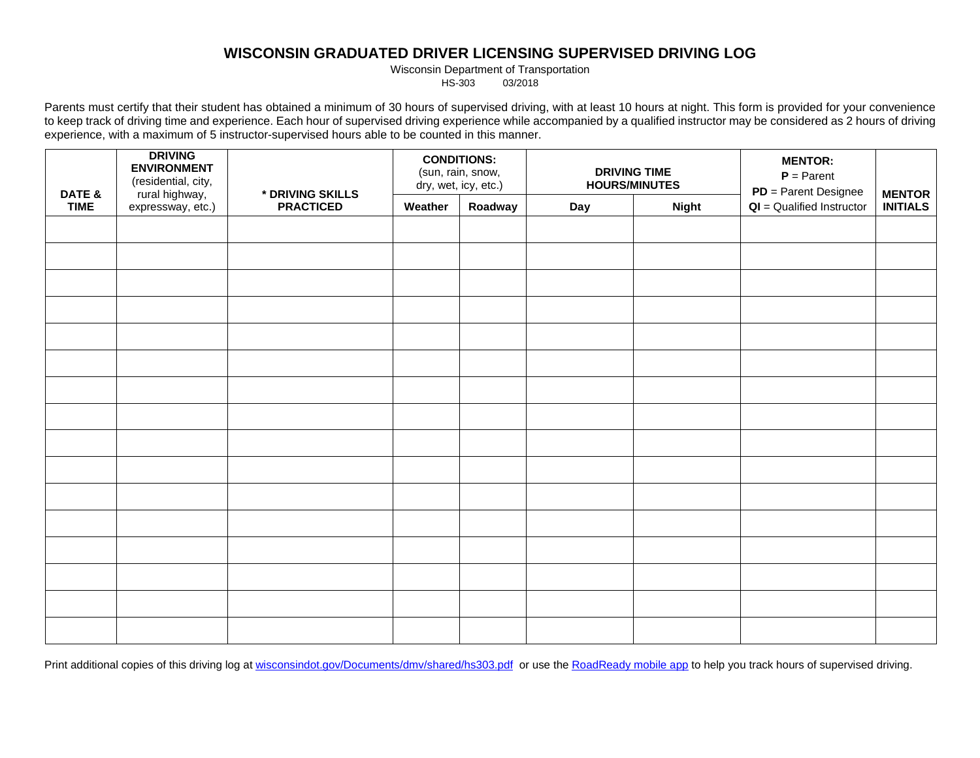## **WISCONSIN GRADUATED DRIVER LICENSING SUPERVISED DRIVING LOG**

Wisconsin Department of Transportation<br>HS-303 03/2018

03/2018

Parents must certify that their student has obtained a minimum of 30 hours of supervised driving, with at least 10 hours at night. This form is provided for your convenience to keep track of driving time and experience. Each hour of supervised driving experience while accompanied by a qualified instructor may be considered as 2 hours of driving experience, with a maximum of 5 instructor-supervised hours able to be counted in this manner.

|                       | <b>DRIVING</b><br><b>ENVIRONMENT</b><br>(residential, city, |                                      | <b>CONDITIONS:</b><br>(sun, rain, snow,<br>dry, wet, icy, etc.) |         | <b>DRIVING TIME</b><br><b>HOURS/MINUTES</b> |              | <b>MENTOR:</b><br>$P = Parent$<br>$PD = Parent$ Designee |                                  |
|-----------------------|-------------------------------------------------------------|--------------------------------------|-----------------------------------------------------------------|---------|---------------------------------------------|--------------|----------------------------------------------------------|----------------------------------|
| DATE &<br><b>TIME</b> | rural highway,<br>expressway, etc.)                         | * DRIVING SKILLS<br><b>PRACTICED</b> | Weather                                                         | Roadway | Day                                         | <b>Night</b> | $QI =$ Qualified Instructor                              | <b>MENTOR</b><br><b>INITIALS</b> |
|                       |                                                             |                                      |                                                                 |         |                                             |              |                                                          |                                  |
|                       |                                                             |                                      |                                                                 |         |                                             |              |                                                          |                                  |
|                       |                                                             |                                      |                                                                 |         |                                             |              |                                                          |                                  |
|                       |                                                             |                                      |                                                                 |         |                                             |              |                                                          |                                  |
|                       |                                                             |                                      |                                                                 |         |                                             |              |                                                          |                                  |
|                       |                                                             |                                      |                                                                 |         |                                             |              |                                                          |                                  |
|                       |                                                             |                                      |                                                                 |         |                                             |              |                                                          |                                  |
|                       |                                                             |                                      |                                                                 |         |                                             |              |                                                          |                                  |
|                       |                                                             |                                      |                                                                 |         |                                             |              |                                                          |                                  |
|                       |                                                             |                                      |                                                                 |         |                                             |              |                                                          |                                  |
|                       |                                                             |                                      |                                                                 |         |                                             |              |                                                          |                                  |
|                       |                                                             |                                      |                                                                 |         |                                             |              |                                                          |                                  |
|                       |                                                             |                                      |                                                                 |         |                                             |              |                                                          |                                  |
|                       |                                                             |                                      |                                                                 |         |                                             |              |                                                          |                                  |
|                       |                                                             |                                      |                                                                 |         |                                             |              |                                                          |                                  |
|                       |                                                             |                                      |                                                                 |         |                                             |              |                                                          |                                  |

Print additional copies of this driving log at [wisconsindot.gov/Documents/dmv/shared/hs303.pdf](http://wisconsindot.gov/Documents/dmv/shared/hs303.pdf) or use the [RoadReady mobile app](http://www.roadreadyapp.com/) to help you track hours of supervised driving.